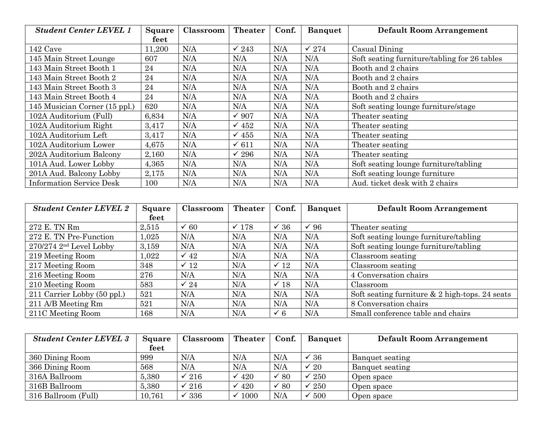| <b>Student Center LEVEL 1</b>   | <b>Square</b> | Classroom | <b>Theater</b>   | Conf. | <b>Banquet</b>   | <b>Default Room Arrangement</b>              |
|---------------------------------|---------------|-----------|------------------|-------|------------------|----------------------------------------------|
|                                 | feet          |           |                  |       |                  |                                              |
| 142 Cave                        | 11,200        | N/A       | $\checkmark$ 243 | N/A   | $\checkmark$ 274 | Casual Dining                                |
| 145 Main Street Lounge          | 607           | N/A       | N/A              | N/A   | N/A              | Soft seating furniture/tabling for 26 tables |
| 143 Main Street Booth 1         | 24            | N/A       | N/A              | N/A   | N/A              | Booth and 2 chairs                           |
| 143 Main Street Booth 2         | 24            | N/A       | N/A              | N/A   | N/A              | Booth and 2 chairs                           |
| 143 Main Street Booth 3         | 24            | N/A       | N/A              | N/A   | N/A              | Booth and 2 chairs                           |
| 143 Main Street Booth 4         | 24            | N/A       | N/A              | N/A   | N/A              | Booth and 2 chairs                           |
| 145 Musician Corner (15 ppl.)   | 620           | N/A       | N/A              | N/A   | N/A              | Soft seating lounge furniture/stage          |
| 102A Auditorium (Full)          | 6,834         | N/A       | $\sqrt{907}$     | N/A   | N/A              | Theater seating                              |
| 102A Auditorium Right           | 3,417         | N/A       | $\sqrt{452}$     | N/A   | N/A              | Theater seating                              |
| 102A Auditorium Left            | 3,417         | N/A       | $\sqrt{455}$     | N/A   | N/A              | Theater seating                              |
| 102A Auditorium Lower           | 4,675         | N/A       | $\checkmark$ 611 | N/A   | N/A              | Theater seating                              |
| 202A Auditorium Balcony         | 2,160         | N/A       | $\checkmark$ 296 | N/A   | N/A              | Theater seating                              |
| 101A Aud. Lower Lobby           | 4,365         | N/A       | N/A              | N/A   | N/A              | Soft seating lounge furniture/tabling        |
| 201A Aud. Balcony Lobby         | 2,175         | N/A       | N/A              | N/A   | N/A              | Soft seating lounge furniture                |
| <b>Information Service Desk</b> | 100           | N/A       | N/A              | N/A   | N/A              | Aud. ticket desk with 2 chairs               |

| <b>Student Center LEVEL 2</b> | Square  | Classroom       | <b>Theater</b> | Conf.           | <b>Banquet</b> | <b>Default Room Arrangement</b>                  |
|-------------------------------|---------|-----------------|----------------|-----------------|----------------|--------------------------------------------------|
|                               | feet    |                 |                |                 |                |                                                  |
| 272 E. TN Rm                  | 2,515   | $\checkmark$ 60 | $\times$ 178   | $\sqrt{36}$     | $\sqrt{96}$    | Theater seating                                  |
| 272 E. TN Pre-Function        | 1,025   | N/A             | N/A            | N/A             | N/A            | Soft seating lounge furniture/tabling            |
| $270/274$ $2nd$ Level Lobby   | 3,159   | N/A             | N/A            | N/A             | N/A            | Soft seating lounge furniture/tabling            |
| 219 Meeting Room              | 1,022   | $\checkmark$ 42 | N/A            | N/A             | N/A            | Classroom seating                                |
| 217 Meeting Room              | 348     | $\checkmark$ 12 | N/A            | $\checkmark$ 12 | N/A            | Classroom seating                                |
| 216 Meeting Room              | 276     | N/A             | N/A            | N/A             | N/A            | 4 Conversation chairs                            |
| 210 Meeting Room              | 583     | $\checkmark$ 24 | N/A            | $\times$ 18     | N/A            | Classroom                                        |
| 211 Carrier Lobby (50 ppl.)   | 521     | N/A             | N/A            | N/A             | N/A            | Soft seating furniture $& 2$ high-tops. 24 seats |
| 211 A/B Meeting Rm            | 521     | N/A             | N/A            | N/A             | N/A            | 8 Conversation chairs                            |
| 211C Meeting Room             | $168\,$ | N/A             | N/A            | $\checkmark$ 6  | N/A            | Small conference table and chairs                |

| <b>Student Center LEVEL 3</b> | <b>Square</b> | Classroom        | <b>Theater</b> | Conf. | <b>Banquet</b> | <b>Default Room Arrangement</b> |
|-------------------------------|---------------|------------------|----------------|-------|----------------|---------------------------------|
|                               | feet          |                  |                |       |                |                                 |
| 360 Dining Room               | 999           | N/A              | N/A            | N/A   | $\int 36$      | Banquet seating                 |
| 366 Dining Room               | 568           | N/A              | N/A            | N/A   | $\degree{20}$  | Banquet seating                 |
| 316A Ballroom                 | 5,380         | $\checkmark$ 216 | $\sqrt{420}$   | 80    | 250            | Open space                      |
| 316B Ballroom                 | 5,380         | $\checkmark$ 216 | 420            | 80    | 250            | Open space                      |
| 316 Ballroom (Full)           | 10,761        | 336              | 1000           | N/A   | 500            | Open space                      |